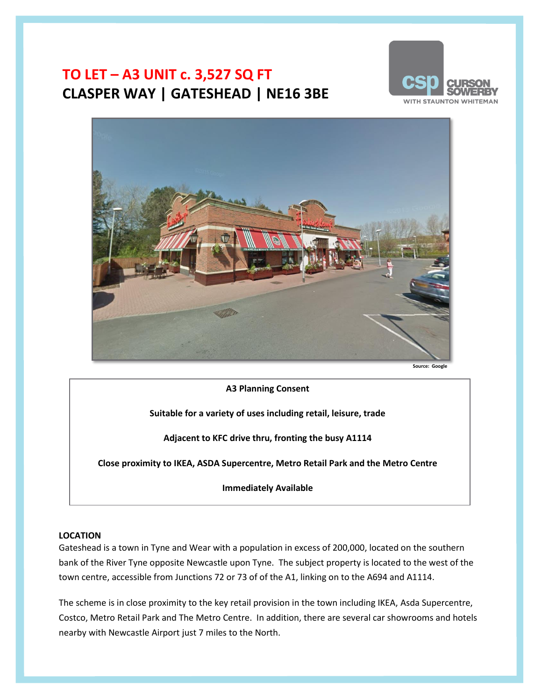# **TO LET – A3 UNIT c. 3,527 SQ FT CLASPER WAY | GATESHEAD | NE16 3BE**





Source: Googl

**A3 Planning Consent**

**Suitable for a variety of uses including retail, leisure, trade**

**Adjacent to KFC drive thru, fronting the busy A1114**

**Close proximity to IKEA, ASDA Supercentre, Metro Retail Park and the Metro Centre**

**Immediately Available**

#### **LOCATION**

Gateshead is a town in Tyne and Wear with a population in excess of 200,000, located on the southern bank of the River Tyne opposite Newcastle upon Tyne. The subject property is located to the west of the town centre, accessible from Junctions 72 or 73 of of the A1, linking on to the A694 and A1114.

The scheme is in close proximity to the key retail provision in the town including IKEA, Asda Supercentre, Costco, Metro Retail Park and The Metro Centre. In addition, there are several car showrooms and hotels nearby with Newcastle Airport just 7 miles to the North.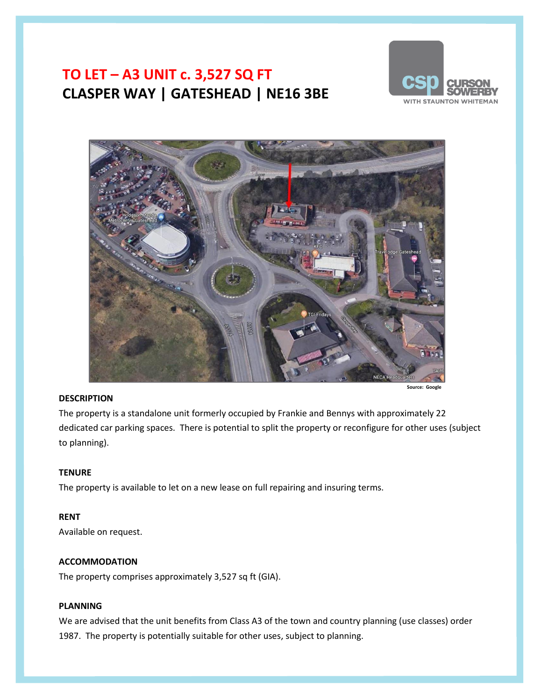# **TO LET – A3 UNIT c. 3,527 SQ FT CLASPER WAY | GATESHEAD | NE16 3BE**





### **DESCRIPTION**

The property is a standalone unit formerly occupied by Frankie and Bennys with approximately 22 dedicated car parking spaces. There is potential to split the property or reconfigure for other uses (subject to planning).

### **TENURE**

The property is available to let on a new lease on full repairing and insuring terms.

### **RENT**

Available on request.

### **ACCOMMODATION**

The property comprises approximately 3,527 sq ft (GIA).

### **PLANNING**

We are advised that the unit benefits from Class A3 of the town and country planning (use classes) order 1987. The property is potentially suitable for other uses, subject to planning.